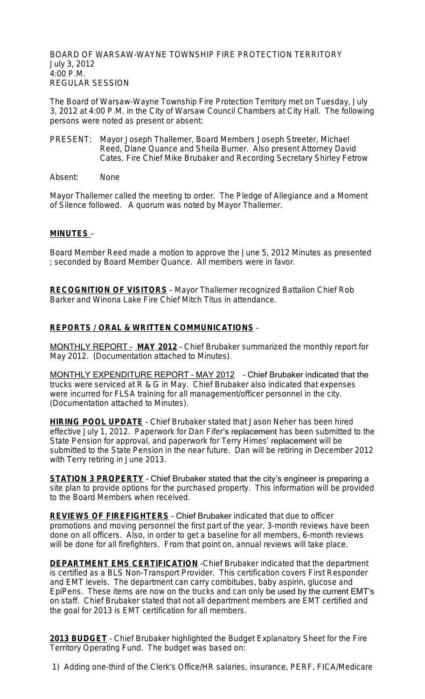BOARD OF WARSAW-WAYNE TOWNSHIP FIRE PROTECTION TERRITORY July 3, 2012 4:00 P.M. REGULAR SESSION

The Board of Warsaw-Wayne Township Fire Protection Territory met on Tuesday, July 3, 2012 at 4:00 P.M. in the City of Warsaw Council Chambers at City Hall. The following persons were noted as present or absent:

- PRESENT: Mayor Joseph Thallemer, Board Members Joseph Streeter, Michael Reed, Diane Quance and Sheila Burner. Also present Attorney David Cates, Fire Chief Mike Brubaker and Recording Secretary Shirley Fetrow
- Absent: None

Mayor Thallemer called the meeting to order. The Pledge of Allegiance and a Moment of Silence followed. A quorum was noted by Mayor Thallemer.

### **MINUTES** –

Board Member Reed made a motion to approve the June 5, 2012 Minutes as presented ; seconded by Board Member Quance. All members were in favor.

**RECOGNITION OF VISITORS** – Mayor Thallemer recognized Battalion Chief Rob Barker and Winona Lake Fire Chief Mitch Titus in attendance.

### **REPORTS / ORAL & WRITTEN COMMUNICATIONS** –

MONTHLY REPORT – **MAY 2012** – Chief Brubaker summarized the monthly report for May 2012. (Documentation attached to Minutes).

MONTHLY EXPENDITURE REPORT – MAY 2012 – Chief Brubaker indicated that the trucks were serviced at R & G in May. Chief Brubaker also indicated that expenses were incurred for FLSA training for all management/officer personnel in the city. (Documentation attached to Minutes).

**HIRING POOL UPDATE** – Chief Brubaker stated that Jason Neher has been hired effective July 1, 2012. Paperwork for Dan Fifer's replacement has been submitted to the State Pension for approval, and paperwork for Terry Himes' replacement will be submitted to the State Pension in the near future. Dan will be retiring in December 2012 with Terry retiring in June 2013.

**STATION 3 PROPERTY** – Chief Brubaker stated that the city's engineer is preparing a site plan to provide options for the purchased property. This information will be provided to the Board Members when received.

**REVIEWS OF FIREFIGHTERS** – Chief Brubaker indicated that due to officer promotions and moving personnel the first part of the year, 3-month reviews have been done on all officers. Also, in order to get a baseline for all members, 6-month reviews will be done for all firefighters. From that point on, annual reviews will take place.

**DEPARTMENT EMS CERTIFICATION** - Chief Brubaker indicated that the department is certified as a BLS Non-Transport Provider. This certification covers First Responder and EMT levels. The department can carry combitubes, baby aspirin, glucose and EpiPens. These items are now on the trucks and can only be used by the current EMT's on staff. Chief Brubaker stated that not all department members are EMT certified and the goal for 2013 is EMT certification for all members.

**2013 BUDGET** – Chief Brubaker highlighted the Budget Explanatory Sheet for the Fire Territory Operating Fund. The budget was based on:

1) Adding one-third of the Clerk's Office/HR salaries, insurance, PERF, FICA/Medicare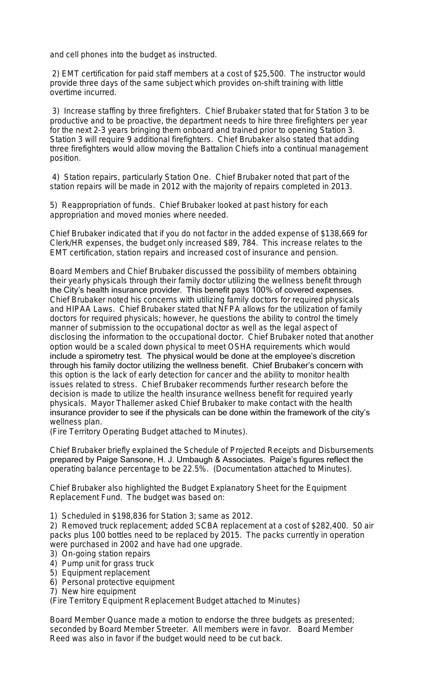and cell phones into the budget as instructed.

 2) EMT certification for paid staff members at a cost of \$25,500. The instructor would provide three days of the same subject which provides on-shift training with little overtime incurred.

 3) Increase staffing by three firefighters. Chief Brubaker stated that for Station 3 to be productive and to be proactive, the department needs to hire three firefighters per year for the next 2-3 years bringing them onboard and trained prior to opening Station 3. Station 3 will require 9 additional firefighters. Chief Brubaker also stated that adding three firefighters would allow moving the Battalion Chiefs into a continual management position.

 4) Station repairs, particularly Station One. Chief Brubaker noted that part of the station repairs will be made in 2012 with the majority of repairs completed in 2013.

5) Reappropriation of funds. Chief Brubaker looked at past history for each appropriation and moved monies where needed.

Chief Brubaker indicated that if you do not factor in the added expense of \$138,669 for Clerk/HR expenses, the budget only increased \$89, 784. This increase relates to the EMT certification, station repairs and increased cost of insurance and pension.

Board Members and Chief Brubaker discussed the possibility of members obtaining their yearly physicals through their family doctor utilizing the wellness benefit through the City's health insurance provider. This benefit pays 100% of covered expenses. Chief Brubaker noted his concerns with utilizing family doctors for required physicals and HIPAA Laws. Chief Brubaker stated that NFPA allows for the utilization of family doctors for required physicals; however, he questions the ability to control the timely manner of submission to the occupational doctor as well as the legal aspect of disclosing the information to the occupational doctor. Chief Brubaker noted that another option would be a scaled down physical to meet OSHA requirements which would include a spirometry test. The physical would be done at the employee's discretion through his family doctor utilizing the wellness benefit. Chief Brubaker's concern with this option is the lack of early detection for cancer and the ability to monitor health issues related to stress. Chief Brubaker recommends further research before the decision is made to utilize the health insurance wellness benefit for required yearly physicals. Mayor Thallemer asked Chief Brubaker to make contact with the health insurance provider to see if the physicals can be done within the framework of the city's wellness plan.

(Fire Territory Operating Budget attached to Minutes).

Chief Brubaker briefly explained the Schedule of Projected Receipts and Disbursements prepared by Paige Sansone, H. J. Umbaugh & Associates. Paige's figures reflect the operating balance percentage to be 22.5%. (Documentation attached to Minutes).

Chief Brubaker also highlighted the Budget Explanatory Sheet for the Equipment Replacement Fund. The budget was based on:

1) Scheduled in \$198,836 for Station 3; same as 2012.

2) Removed truck replacement; added SCBA replacement at a cost of \$282,400. 50 air packs plus 100 bottles need to be replaced by 2015. The packs currently in operation were purchased in 2002 and have had one upgrade.

- 3) On-going station repairs
- 4) Pump unit for grass truck
- 5) Equipment replacement
- 6) Personal protective equipment
- 7) New hire equipment

(Fire Territory Equipment Replacement Budget attached to Minutes)

Board Member Quance made a motion to endorse the three budgets as presented; seconded by Board Member Streeter. All members were in favor. Board Member Reed was also in favor if the budget would need to be cut back.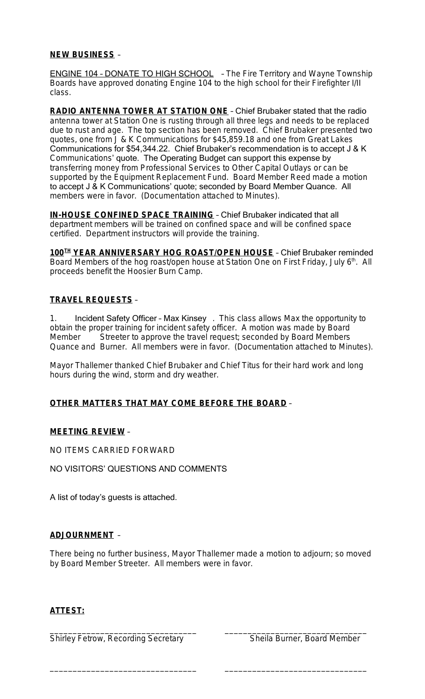### **NEW BUSINESS** –

**ENGINE 104 - DONATE TO HIGH SCHOOL** - The Fire Territory and Wayne Township Boards have approved donating Engine 104 to the high school for their Firefighter I/II class.

**RADIO ANTENNA TOWER AT STATION ONE** – Chief Brubaker stated that the radio antenna tower at Station One is rusting through all three legs and needs to be replaced due to rust and age. The top section has been removed. Chief Brubaker presented two quotes, one from J & K Communications for \$45,859.18 and one from Great Lakes Communications for \$54,344.22. Chief Brubaker's recommendation is to accept J & K Communications' quote. The Operating Budget can support this expense by transferring money from Professional Services to Other Capital Outlays or can be supported by the Equipment Replacement Fund. Board Member Reed made a motion to accept J & K Communications' quote; seconded by Board Member Quance. All members were in favor. (Documentation attached to Minutes).

**IN-HOUSE CONFINED SPACE TRAINING** – Chief Brubaker indicated that all department members will be trained on confined space and will be confined space certified. Department instructors will provide the training.

**100TH YEAR ANNIVERSARY HOG ROAST/OPEN HOUSE** – Chief Brubaker reminded Board Members of the hog roast/open house at Station One on First Friday, July 6<sup>th</sup>. All proceeds benefit the Hoosier Burn Camp.

# **TRAVEL REQUESTS** –

1. Incident Safety Officer - Max Kinsey . This class allows Max the opportunity to obtain the proper training for incident safety officer. A motion was made by Board Member Streeter to approve the travel request; seconded by Board Members Quance and Burner. All members were in favor. (Documentation attached to Minutes).

Mayor Thallemer thanked Chief Brubaker and Chief Titus for their hard work and long hours during the wind, storm and dry weather.

# **OTHER MATTERS THAT MAY COME BEFORE THE BOARD** –

### **MEETING REVIEW** –

NO ITEMS CARRIED FORWARD

NO VISITORS' QUESTIONS AND COMMENTS

A list of today's guests is attached.

# **ADJOURNMENT** –

There being no further business, Mayor Thallemer made a motion to adjourn; so moved by Board Member Streeter. All members were in favor.

\_\_\_\_\_\_\_\_\_\_\_\_\_\_\_\_\_\_\_\_\_\_\_\_\_\_\_\_\_\_\_\_ \_\_\_\_\_\_\_\_\_\_\_\_\_\_\_\_\_\_\_\_\_\_\_\_\_\_\_\_\_\_\_

# **ATTEST:**

\_\_\_\_\_\_\_\_\_\_\_\_\_\_\_\_\_\_\_\_\_\_\_\_\_\_\_\_\_\_\_\_ \_\_\_\_\_\_\_\_\_\_\_\_\_\_\_\_\_\_\_\_\_\_\_\_\_\_\_\_\_\_\_ Shirley Fetrow, Recording Secretary Sheila Burner, Board Member